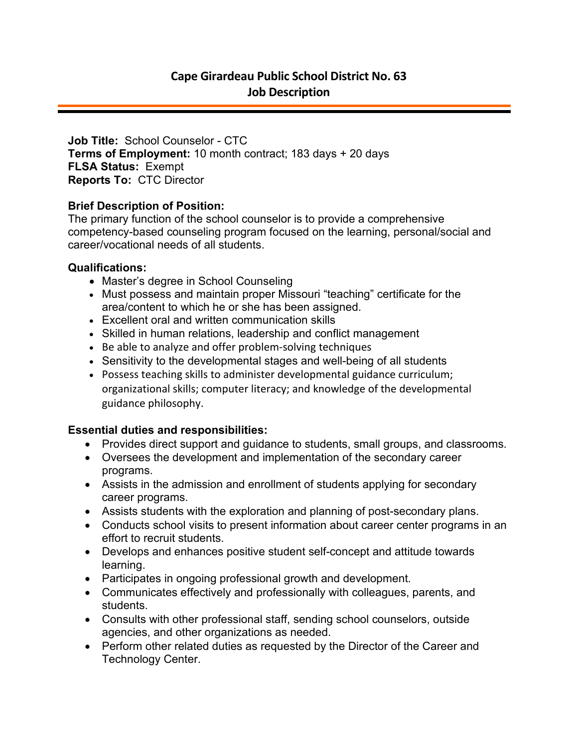**Job Title:** School Counselor - CTC **Terms of Employment:** 10 month contract; 183 days + 20 days **FLSA Status:** Exempt **Reports To:** CTC Director

## **Brief Description of Position:**

The primary function of the school counselor is to provide a comprehensive competency-based counseling program focused on the learning, personal/social and career/vocational needs of all students.

## **Qualifications:**

- Master's degree in School Counseling
- Must possess and maintain proper Missouri "teaching" certificate for the area/content to which he or she has been assigned.
- Excellent oral and written communication skills
- Skilled in human relations, leadership and conflict management
- Be able to analyze and offer problem-solving techniques
- Sensitivity to the developmental stages and well-being of all students
- Possess teaching skills to administer developmental guidance curriculum; organizational skills; computer literacy; and knowledge of the developmental guidance philosophy.

## **Essential duties and responsibilities:**

- Provides direct support and guidance to students, small groups, and classrooms.
- Oversees the development and implementation of the secondary career programs.
- Assists in the admission and enrollment of students applying for secondary career programs.
- Assists students with the exploration and planning of post-secondary plans.
- Conducts school visits to present information about career center programs in an effort to recruit students.
- Develops and enhances positive student self-concept and attitude towards learning.
- Participates in ongoing professional growth and development.
- Communicates effectively and professionally with colleagues, parents, and students.
- Consults with other professional staff, sending school counselors, outside agencies, and other organizations as needed.
- Perform other related duties as requested by the Director of the Career and Technology Center.